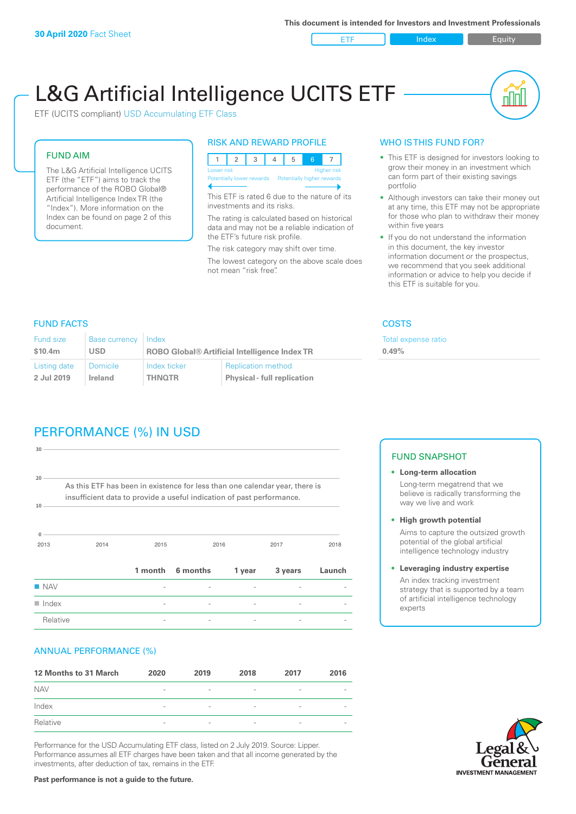ETF Index Buity

nl M

# L&G Artificial Intelligence UCITS ETF

ETF (UCITS compliant) USD Accumulating ETF Class

#### FUND AIM

The L&G Artificial Intelligence UCITS ETF (the "ETF") aims to track the performance of the ROBO Global® Artificial Intelligence Index TR (the "Index"). More information on the Index can be found on page 2 of this document.

#### RISK AND REWARD PROFILE



This ETF is rated 6 due to the nature of its investments and its risks.

The rating is calculated based on historical data and may not be a reliable indication of the ETF's future risk profile.

The risk category may shift over time. The lowest category on the above scale does not mean "risk free".

#### WHO IS THIS FUND FOR?

- This ETF is designed for investors looking to grow their money in an investment which can form part of their existing savings portfolio
- Although investors can take their money out at any time, this ETF may not be appropriate for those who plan to withdraw their money within five years
- If you do not understand the information in this document, the key investor information document or the prospectus, we recommend that you seek additional information or advice to help you decide if this ETF is suitable for you.

**0.49%**

Total expense ratio

FUND FACTS COSTS

| Fund size    | <b>Base currency</b> | Index                                                |                                    |  |
|--------------|----------------------|------------------------------------------------------|------------------------------------|--|
| \$10.4m      | <b>USD</b>           | <b>ROBO Global® Artificial Intelligence Index TR</b> |                                    |  |
| Listing date | <b>Domicile</b>      | Index ticker                                         | <b>Replication method</b>          |  |
| 2 Jul 2019   | Ireland              | <b>THNOTR</b>                                        | <b>Physical - full replication</b> |  |

# PERFORMANCE (%) IN USD

| 30                                                                                                                                                         |      |         |          |        |         |        |
|------------------------------------------------------------------------------------------------------------------------------------------------------------|------|---------|----------|--------|---------|--------|
| 20<br>As this ETF has been in existence for less than one calendar year, there is<br>insufficient data to provide a useful indication of past performance. |      |         |          |        |         |        |
| 10<br>$\Omega$<br>2013                                                                                                                                     | 2014 | 2015    |          | 2016   | 2017    | 2018   |
|                                                                                                                                                            |      | 1 month | 6 months | 1 year | 3 years | Launch |
| $\blacksquare$ NAV                                                                                                                                         |      |         |          |        |         |        |
| $\blacksquare$ Index                                                                                                                                       |      | ۰       |          |        |         |        |
| Relative                                                                                                                                                   |      |         |          |        |         |        |

#### ANNUAL PERFORMANCE (%)

| 12 Months to 31 March | 2020                     | 2019                     | 2018                     | 2017            | 2016                     |
|-----------------------|--------------------------|--------------------------|--------------------------|-----------------|--------------------------|
| <b>NAV</b>            | $\overline{\phantom{0}}$ | $\overline{\phantom{a}}$ | $\overline{\phantom{a}}$ | $\qquad \qquad$ | $\overline{\phantom{a}}$ |
| Index                 | $\qquad \qquad$          | $\overline{\phantom{a}}$ | $\overline{\phantom{a}}$ | $\qquad \qquad$ | $\overline{\phantom{a}}$ |
| Relative              | $\overline{\phantom{a}}$ | $\sim$                   | $\overline{\phantom{a}}$ | $\sim$          | $\overline{\phantom{a}}$ |

Performance for the USD Accumulating ETF class, listed on 2 July 2019. Source: Lipper. Performance assumes all ETF charges have been taken and that all income generated by the investments, after deduction of tax, remains in the ETF.

#### FUND SNAPSHOT

- **• Long-term allocation** Long-term megatrend that we believe is radically transforming the way we live and work
- **• High growth potential** Aims to capture the outsized growth potential of the global artificial intelligence technology industry
- **• Leveraging industry expertise** An index tracking investment strategy that is supported by a team of artificial intelligence technology experts



**Past performance is not a guide to the future.**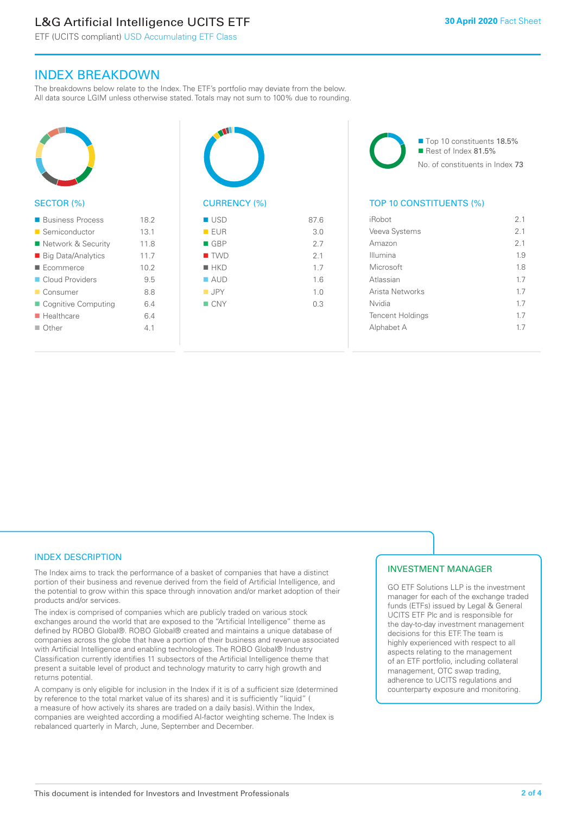# L&G Artificial Intelligence UCITS ETF

ETF (UCITS compliant) USD Accumulating ETF Class

### INDEX BREAKDOWN

The breakdowns below relate to the Index. The ETF's portfolio may deviate from the below. All data source LGIM unless otherwise stated. Totals may not sum to 100% due to rounding.



#### SECTOR (%)

| ■ Business Process        | 18.2 |
|---------------------------|------|
| ■ Semiconductor           | 13.1 |
| ■ Network & Security      | 11.8 |
| ■ Big Data/Analytics      | 11.7 |
| Ecommerce                 | 10.2 |
| Cloud Providers           | 9.5  |
| ■ Consumer                | 8.8  |
| ■ Cognitive Computing     | 6.4  |
| $\blacksquare$ Healthcare | 6.4  |
| $\blacksquare$ Other      | 4.1  |
|                           |      |



## $R = F \cup R$  3.0  $R = GRP$  2.7  $\blacksquare$  TWD 2.1  $n = HK$ D 1.7  $\blacksquare$  AUD  $1.6$  $\blacksquare$  JPY 1.0  $N = CNY$  0.3

■ Top 10 constituents 18.5% Rest of Index 81.5% No. of constituents in Index 73

#### TOP 10 CONSTITUENTS (%)

| iRobot                  | 2 <sub>1</sub> |
|-------------------------|----------------|
| Veeva Systems           | 2 <sub>1</sub> |
| Amazon                  | 2.1            |
| Illumina                | 1.9            |
| Microsoft               | 18             |
| Atlassian               | 17             |
| Arista Networks         | 17             |
| Nvidia                  | 17             |
| <b>Tencent Holdings</b> | 17             |
| Alphabet A              | 17             |
|                         |                |

#### INDEX DESCRIPTION

The Index aims to track the performance of a basket of companies that have a distinct portion of their business and revenue derived from the field of Artificial Intelligence, and the potential to grow within this space through innovation and/or market adoption of their products and/or services.

The index is comprised of companies which are publicly traded on various stock exchanges around the world that are exposed to the "Artificial Intelligence" theme as defined by ROBO Global®. ROBO Global® created and maintains a unique database of companies across the globe that have a portion of their business and revenue associated with Artificial Intelligence and enabling technologies. The ROBO Global® Industry Classification currently identifies 11 subsectors of the Artificial Intelligence theme that present a suitable level of product and technology maturity to carry high growth and returns potential.

A company is only eligible for inclusion in the Index if it is of a sufficient size (determined by reference to the total market value of its shares) and it is sufficiently "liquid" ( a measure of how actively its shares are traded on a daily basis). Within the Index, companies are weighted according a modified AI-factor weighting scheme. The Index is rebalanced quarterly in March, June, September and December.

#### INVESTMENT MANAGER

GO ETF Solutions LLP is the investment manager for each of the exchange traded funds (ETFs) issued by Legal & General UCITS ETF Plc and is responsible for the day-to-day investment management decisions for this ETF. The team is highly experienced with respect to all aspects relating to the management of an ETF portfolio, including collateral management, OTC swap trading, adherence to UCITS regulations and counterparty exposure and monitoring.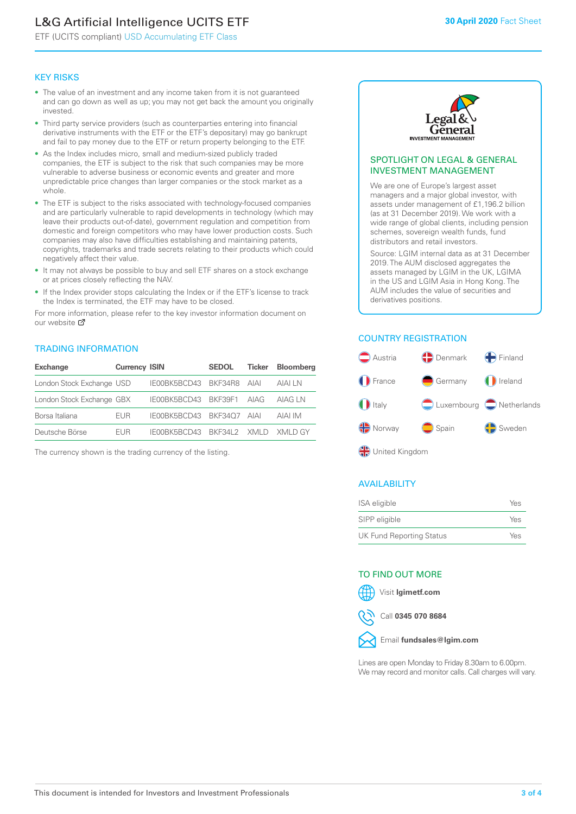# L&G Artificial Intelligence UCITS ETF

ETF (UCITS compliant) USD Accumulating ETF Class

#### KEY RISKS

- The value of an investment and any income taken from it is not guaranteed and can go down as well as up; you may not get back the amount you originally invested.
- Third party service providers (such as counterparties entering into financial derivative instruments with the ETF or the ETF's depositary) may go bankrupt and fail to pay money due to the ETF or return property belonging to the ETF.
- As the Index includes micro, small and medium-sized publicly traded companies, the ETF is subject to the risk that such companies may be more vulnerable to adverse business or economic events and greater and more unpredictable price changes than larger companies or the stock market as a whole.
- The ETF is subject to the risks associated with technology-focused companies and are particularly vulnerable to rapid developments in technology (which may leave their products out-of-date), government regulation and competition from domestic and foreign competitors who may have lower production costs. Such companies may also have difficulties establishing and maintaining patents, copyrights, trademarks and trade secrets relating to their products which could negatively affect their value.
- It may not always be possible to buy and sell ETF shares on a stock exchange or at prices closely reflecting the NAV.
- If the Index provider stops calculating the Index or if the ETF's license to track the Index is terminated, the ETF may have to be closed.

For more information, please refer to the key investor information document on our website Ø

#### TRADING INFORMATION

| <b>Exchange</b>           | <b>Currency ISIN</b> |                                   | <b>SEDOL</b> | Ticker | <b>Bloomberg</b> |
|---------------------------|----------------------|-----------------------------------|--------------|--------|------------------|
| London Stock Exchange USD |                      | IE00BK5BCD43 BKF34R8 AIAI         |              |        | AIAI I N         |
| London Stock Exchange GBX |                      | IE00BK5BCD43 BKF39F1 AIAG         |              |        | AIAG I N         |
| Borsa Italiana            | <b>FUR</b>           | IE00BK5BCD43 BKF34O7 AIAI         |              |        | AIAI IM          |
| Deutsche Börse            | <b>FUR</b>           | IFOORK5BCD43 RKE34L2 XMLD XMLD GY |              |        |                  |

The currency shown is the trading currency of the listing.



#### SPOTLIGHT ON LEGAL & GENERAL INVESTMENT MANAGEMENT

We are one of Europe's largest asset managers and a major global investor, with assets under management of £1,196.2 billion (as at 31 December 2019). We work with a wide range of global clients, including pension schemes, sovereign wealth funds, fund distributors and retail investors.

Source: LGIM internal data as at 31 December 2019. The AUM disclosed aggregates the assets managed by LGIM in the UK, LGIMA in the US and LGIM Asia in Hong Kong. The AUM includes the value of securities and derivatives positions.

#### COUNTRY REGISTRATION



#### AVAILABILITY

| ISA eligible                    | Yes |
|---------------------------------|-----|
| SIPP eligible                   | Yes |
| <b>UK Fund Reporting Status</b> | Yes |

#### TO FIND OUT MORE



Call **0345 070 8684**



Lines are open Monday to Friday 8.30am to 6.00pm. We may record and monitor calls. Call charges will vary.